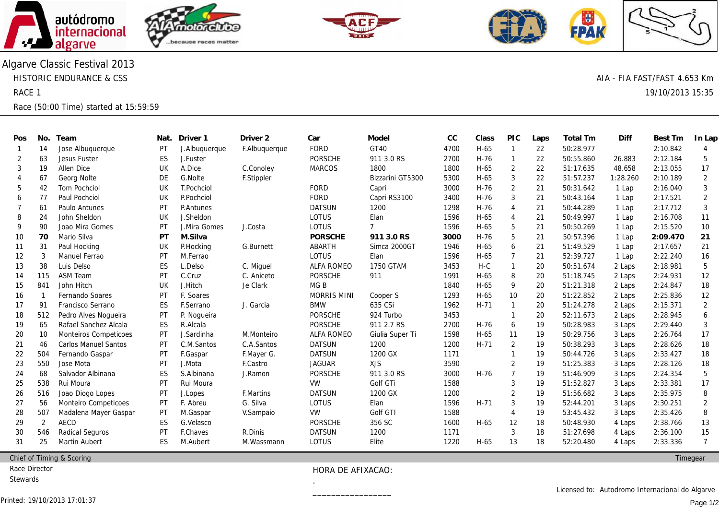





Algarve Classic Festival 2013 HISTORIC ENDURANCE & CSS RACE 1

Race (50:00 Time) started at 15:59:59

| Pos            | No.            | Team                         | Nat. | Driver 1         | Driver <sub>2</sub> | Car                | Model            | CC   | Class    | <b>PIC</b>     | Laps | Total Tm  | Diff     | Best Tm  | In Lap            |
|----------------|----------------|------------------------------|------|------------------|---------------------|--------------------|------------------|------|----------|----------------|------|-----------|----------|----------|-------------------|
| $\overline{1}$ | 14             | Jose Albuguergue             | PT   | J. Albuquerque   | F.Albuquerque       | <b>FORD</b>        | GT40             | 4700 | H-65     | $\overline{1}$ | 22   | 50:28.977 |          | 2:10.842 | 4                 |
| 2              | 63             | Jesus Fuster                 | ES   | J.Fuster         |                     | <b>PORSCHE</b>     | 911 3.0 RS       | 2700 | $H-76$   | -1             | 22   | 50:55.860 | 26.883   | 2:12.184 | 5                 |
| 3              | 19             | Allen Dice                   | UK   | A.Dice           | C.Conoley           | <b>MARCOS</b>      | 1800             | 1800 | H-65     | 2              | 22   | 51:17.635 | 48.658   | 2:13.055 | 17                |
| $\overline{4}$ | 67             | Georg Nolte                  | DE   | G.Nolte          | F.Stippler          |                    | Bizzarini GT5300 | 5300 | $H-65$   | 3              | 22   | 51:57.237 | 1:28.260 | 2:10.189 | 2                 |
| 5              | 42             | <b>Tom Pochciol</b>          | UK   | T.Pochciol       |                     | <b>FORD</b>        | Capri            | 3000 | $H-76$   | $\overline{2}$ | 21   | 50:31.642 | 1 Lap    | 2:16.040 | 3                 |
| 6              | 77             | Paul Pochciol                | UK   | P.Pochciol       |                     | <b>FORD</b>        | Capri RS3100     | 3400 | $H-76$   | 3              | 21   | 50:43.164 | 1 Lap    | 2:17.521 | $\overline{2}$    |
| 7              | 61             | Paulo Antunes                | PT   | <b>P.Antunes</b> |                     | <b>DATSUN</b>      | 1200             | 1298 | $H-76$   | $\overline{4}$ | 21   | 50:44.289 | 1 Lap    | 2:17.712 | 3                 |
| 8              | 24             | John Sheldon                 | UK   | J.Sheldon        |                     | LOTUS              | Elan             | 1596 | H-65     | $\overline{4}$ | 21   | 50:49.997 | 1 Lap    | 2:16.708 | 11                |
| 9              | 90             | Joao Mira Gomes              | PT   | J.Mira Gomes     | J.Costa             | LOTUS              | $\overline{7}$   | 1596 | H-65     | 5              | 21   | 50:50.269 | 1 Lap    | 2:15.520 | 10                |
| 10             | 70             | Mario Silva                  | PT   | M.Silva          |                     | <b>PORSCHE</b>     | 911 3.0 RS       | 3000 | $H-76$   | -5             | 21   | 50:57.396 | 1 Lap    | 2:09.470 | 21                |
| 11             | 31             | Paul Hocking                 | UK   | P.Hocking        | G.Burnett           | <b>ABARTH</b>      | Simca 2000GT     | 1946 | H-65     | 6              | 21   | 51:49.529 | 1 Lap    | 2:17.657 | 21                |
| 12             | 3              | Manuel Ferrao                | PT   | M.Ferrao         |                     | <b>LOTUS</b>       | Elan             | 1596 | H-65     | $\overline{7}$ | 21   | 52:39.727 | 1 Lap    | 2:22.240 | 16                |
| 13             | 38             | Luis Delso                   | ES   | L.Delso          | C. Miguel           | <b>ALFA ROMEO</b>  | 1750 GTAM        | 3453 | H-C      | $\overline{1}$ | 20   | 50:51.674 | 2 Laps   | 2:18.981 | 5                 |
| -14            | 115            | <b>ASM Team</b>              | PT   | C.Cruz           | C. Aniceto          | <b>PORSCHE</b>     | 911              | 1991 | H-65     | 8              | 20   | 51:18.745 | 2 Laps   | 2:24.931 | $12 \overline{ }$ |
| 15             | 841            | John Hitch                   | UK   | J.Hitch          | Je Clark            | MG <sub>B</sub>    |                  | 1840 | H-65     | 9              | 20   | 51:21.318 | 2 Laps   | 2:24.847 | 18                |
| 16             |                | Fernando Soares              | PT   | F. Soares        |                     | <b>MORRIS MINI</b> | Cooper S         | 1293 | H-65     | 10             | 20   | 51:22.852 | 2 Laps   | 2:25.836 | 12                |
| 17             | 91             | Francisco Serrano            | ES   | F.Serrano        | J. Garcia           | <b>BMW</b>         | 635 CSi          | 1962 | $H - 71$ | $\overline{1}$ | 20   | 51:24.278 | 2 Laps   | 2:15.371 | 2                 |
| 18             | 512            | Pedro Alves Noqueira         | PT   | P. Nogueira      |                     | <b>PORSCHE</b>     | 924 Turbo        | 3453 |          | -1             | 20   | 52:11.673 | 2 Laps   | 2:28.945 | 6                 |
| 19             | 65             | Rafael Sanchez Alcala        | ES   | R.Alcala         |                     | <b>PORSCHE</b>     | 911 2.7 RS       | 2700 | $H-76$   | 6              | 19   | 50:28.983 | 3 Laps   | 2:29.440 | 3                 |
| 20             | 10             | <b>Monteiros Competicoes</b> | PT   | J.Sardinha       | M.Monteiro          | <b>ALFA ROMEO</b>  | Giulia Super Ti  | 1598 | H-65     | 11             | 19   | 50:29.756 | 3 Laps   | 2:26.764 | 17                |
| 21             | 46             | <b>Carlos Manuel Santos</b>  | PT   | C.M.Santos       | C.A.Santos          | <b>DATSUN</b>      | 1200             | 1200 | $H-71$   | 2              | 19   | 50:38.293 | 3 Laps   | 2:28.626 | 18                |
| 22             | 504            | Fernando Gaspar              | PT   | F.Gaspar         | F.Mayer G.          | <b>DATSUN</b>      | 1200 GX          | 1171 |          | $\mathbf{1}$   | 19   | 50:44.726 | 3 Laps   | 2:33.427 | 18                |
| 23             | 550            | Jose Mota                    | PT   | J.Mota           | F.Castro            | <b>JAGUAR</b>      | <b>XJS</b>       | 3590 |          | $\overline{2}$ | 19   | 51:25.383 | 3 Laps   | 2:28.126 | 18                |
| 24             | 68             | Salvador Albinana            | ES   | S.Albinana       | J.Ramon             | <b>PORSCHE</b>     | 911 3.0 RS       | 3000 | $H-76$   | $\overline{7}$ | 19   | 51:46.909 | 3 Laps   | 2:24.354 | 5                 |
| 25             | 538            | Rui Moura                    | PT   | Rui Moura        |                     | VW                 | Golf GTi         | 1588 |          | 3              | 19   | 51:52.827 | 3 Laps   | 2:33.381 | 17                |
| 26             | 516            | Joao Diogo Lopes             | PT   | J.Lopes          | <b>F.Martins</b>    | <b>DATSUN</b>      | 1200 GX          | 1200 |          | $\overline{2}$ | 19   | 51:56.682 | 3 Laps   | 2:35.975 | 8                 |
| 27             | 56             | Monteiro Competicoes         | PT   | F. Abreu         | G. Silva            | <b>LOTUS</b>       | Elan             | 1596 | $H-71$   | 3              | 19   | 52:44.201 | 3 Laps   | 2:30.251 | 2                 |
| 28             | 507            | Madalena Mayer Gaspar        | РT   | M.Gaspar         | V.Sampaio           | <b>VW</b>          | Golf GTI         | 1588 |          | $\overline{4}$ | 19   | 53:45.432 | 3 Laps   | 2:35.426 | 8                 |
| 29             | $\overline{2}$ | <b>AECD</b>                  | ES   | G.Velasco        |                     | <b>PORSCHE</b>     | 356 SC           | 1600 | H-65     | 12             | 18   | 50:48.930 | 4 Laps   | 2:38.766 | 13                |
| 30             | 546            | Radical Seguros              | РT   | F.Chaves         | R.Dinis             | <b>DATSUN</b>      | 1200             | 1171 |          | 3              | 18   | 51:27.698 | 4 Laps   | 2:36.100 | 15                |
| 31             | 25             | <b>Martin Aubert</b>         | ES   | M.Aubert         | M.Wassmann          | <b>LOTUS</b>       | Elite            | 1220 | H-65     | 13             | 18   | 52:20.480 | 4 Laps   | 2:33.336 | $\overline{7}$    |
|                |                |                              |      |                  |                     |                    |                  |      |          |                |      |           |          |          |                   |

Chief of Timing & Scoring

Race Director

**Stewards** 

HORA DE AFIXACAO:

.\_\_\_\_\_\_\_\_\_\_\_\_\_\_\_\_\_

**Timegear** 

Licensed to: Autodromo Internacional do Algarve

AIA - FIA FAST/FAST 4.653 Km

19/10/2013 15:35